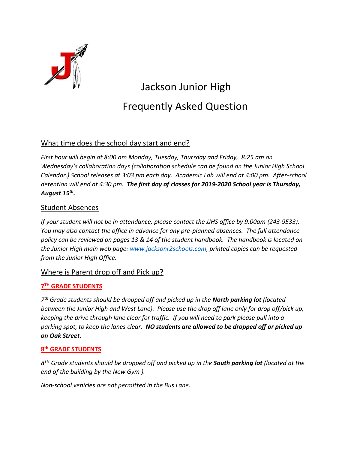

# Jackson Junior High Frequently Asked Question

# What time does the school day start and end?

*First hour will begin at 8:00 am Monday, Tuesday, Thursday and Friday, 8:25 am on Wednesday's collaboration days (collaboration schedule can be found on the Junior High School Calendar.) School releases at 3:03 pm each day. Academic Lab will end at 4:00 pm. After-school detention will end at 4:30 pm. The first day of classes for 2019-2020 School year is Thursday, August 15th .*

### Student Absences

*If your student will not be in attendance, please contact the JJHS office by 9:00am (243-9533). You may also contact the office in advance for any pre-planned absences. The full attendance policy can be reviewed on pages 13 & 14 of the student handbook. The handbook is located on the Junior High main web page: [www.jacksonr2schools.com,](http://www.jacksonr2schools.com/) printed copies can be requested from the Junior High Office.*

#### Where is Parent drop off and Pick up?

#### **7 TH GRADE STUDENTS**

*7 th Grade students should be dropped off and picked up in the North parking lot (located between the Junior High and West Lane). Please use the drop off lane only for drop off/pick up, keeping the drive through lane clear for traffic. If you will need to park please pull into a parking spot, to keep the lanes clear. NO students are allowed to be dropped off or picked up on Oak Street.* 

#### **8 th GRADE STUDENTS**

*8 TH Grade students should be dropped off and picked up in the South parking lot (located at the end of the building by the New Gym ).* 

*Non-school vehicles are not permitted in the Bus Lane.*